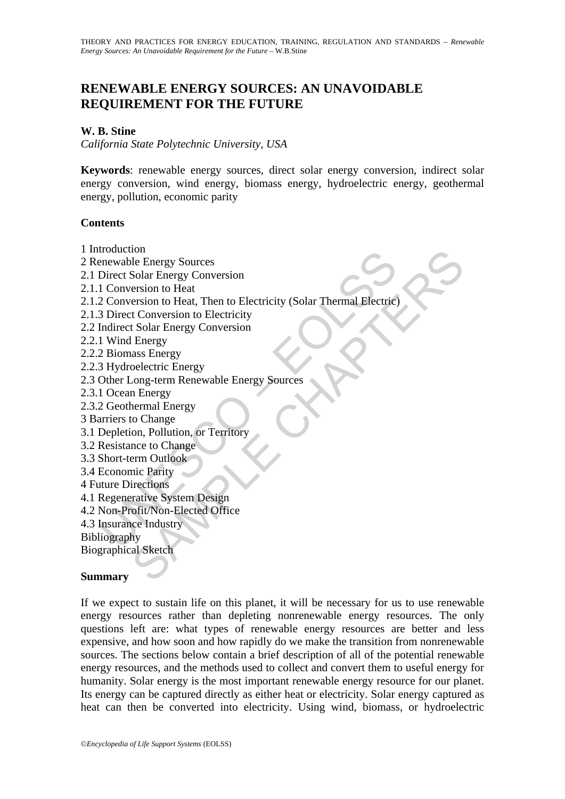# **RENEWABLE ENERGY SOURCES: AN UNAVOIDABLE REQUIREMENT FOR THE FUTURE**

### **W. B. Stine**

*California State Polytechnic University, USA* 

**Keywords**: renewable energy sources, direct solar energy conversion, indirect solar energy conversion, wind energy, biomass energy, hydroelectric energy, geothermal energy, pollution, economic parity

#### **Contents**

- 1 Introduction
- 2 Renewable Energy Sources
- 2.1 Direct Solar Energy Conversion
- 2.1.1 Conversion to Heat
- Framewable Energy Sources<br>
Priewable Energy Conversion<br>
1 Conversion to Heat<br>
2 Conversion to Heat, Then to Electricity (Solar Thermal Electric<br>
3 Direct Conversion to Electricity<br>
1 Wind Energy Conversion<br>
1 Wind Energy C not<br>
ole Energy Sources<br>
Solar Energy Conversion<br>
ersion to Heat, Then to Electricity (Solar Thermal Electricity<br>
ersion to Heat, Then to Electricity<br>
t Conversion to Electricity<br>
Solar Energy<br>
cong-term Renewable Energy S 2.1.2 Conversion to Heat, Then to Electricity (Solar Thermal Electric)
- 2.1.3 Direct Conversion to Electricity
- 2.2 Indirect Solar Energy Conversion
- 2.2.1 Wind Energy
- 2.2.2 Biomass Energy
- 2.2.3 Hydroelectric Energy
- 2.3 Other Long-term Renewable Energy Sources
- 2.3.1 Ocean Energy
- 2.3.2 Geothermal Energy
- 3 Barriers to Change
- 3.1 Depletion, Pollution, or Territory
- 3.2 Resistance to Change
- 3.3 Short-term Outlook
- 3.4 Economic Parity
- 4 Future Directions
- 4.1 Regenerative System Design
- 4.2 Non-Profit/Non-Elected Office
- 4.3 Insurance Industry
- Bibliography

Biographical Sketch

#### **Summary**

If we expect to sustain life on this planet, it will be necessary for us to use renewable energy resources rather than depleting nonrenewable energy resources. The only questions left are: what types of renewable energy resources are better and less expensive, and how soon and how rapidly do we make the transition from nonrenewable sources. The sections below contain a brief description of all of the potential renewable energy resources, and the methods used to collect and convert them to useful energy for humanity. Solar energy is the most important renewable energy resource for our planet. Its energy can be captured directly as either heat or electricity. Solar energy captured as heat can then be converted into electricity. Using wind, biomass, or hydroelectric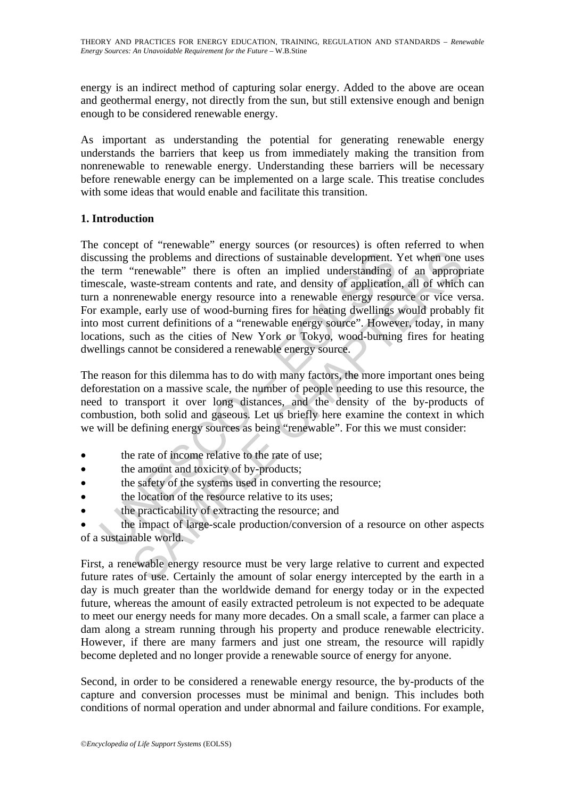energy is an indirect method of capturing solar energy. Added to the above are ocean and geothermal energy, not directly from the sun, but still extensive enough and benign enough to be considered renewable energy.

As important as understanding the potential for generating renewable energy understands the barriers that keep us from immediately making the transition from nonrenewable to renewable energy. Understanding these barriers will be necessary before renewable energy can be implemented on a large scale. This treatise concludes with some ideas that would enable and facilitate this transition.

# **1. Introduction**

ussing the problems and directions of sustainable development. <br>
term "renewable" there is often an implied understanding<br>
scale, waste-stream contents and rate, and density of application<br>
a nonrenewable energy resource i the problems and directions of sustainable development. Yet when one "renewable" there is often an implied understanding of an approp waste-stream contents and rate, and density of application, all of which were-stream con The concept of "renewable" energy sources (or resources) is often referred to when discussing the problems and directions of sustainable development. Yet when one uses the term "renewable" there is often an implied understanding of an appropriate timescale, waste-stream contents and rate, and density of application, all of which can turn a nonrenewable energy resource into a renewable energy resource or vice versa. For example, early use of wood-burning fires for heating dwellings would probably fit into most current definitions of a "renewable energy source". However, today, in many locations, such as the cities of New York or Tokyo, wood-burning fires for heating dwellings cannot be considered a renewable energy source.

The reason for this dilemma has to do with many factors, the more important ones being deforestation on a massive scale, the number of people needing to use this resource, the need to transport it over long distances, and the density of the by-products of combustion, both solid and gaseous. Let us briefly here examine the context in which we will be defining energy sources as being "renewable". For this we must consider:

- the rate of income relative to the rate of use;
- the amount and toxicity of by-products;
- the safety of the systems used in converting the resource;
- the location of the resource relative to its uses;
- the practicability of extracting the resource; and

• the impact of large-scale production/conversion of a resource on other aspects of a sustainable world.

First, a renewable energy resource must be very large relative to current and expected future rates of use. Certainly the amount of solar energy intercepted by the earth in a day is much greater than the worldwide demand for energy today or in the expected future, whereas the amount of easily extracted petroleum is not expected to be adequate to meet our energy needs for many more decades. On a small scale, a farmer can place a dam along a stream running through his property and produce renewable electricity. However, if there are many farmers and just one stream, the resource will rapidly become depleted and no longer provide a renewable source of energy for anyone.

Second, in order to be considered a renewable energy resource, the by-products of the capture and conversion processes must be minimal and benign. This includes both conditions of normal operation and under abnormal and failure conditions. For example,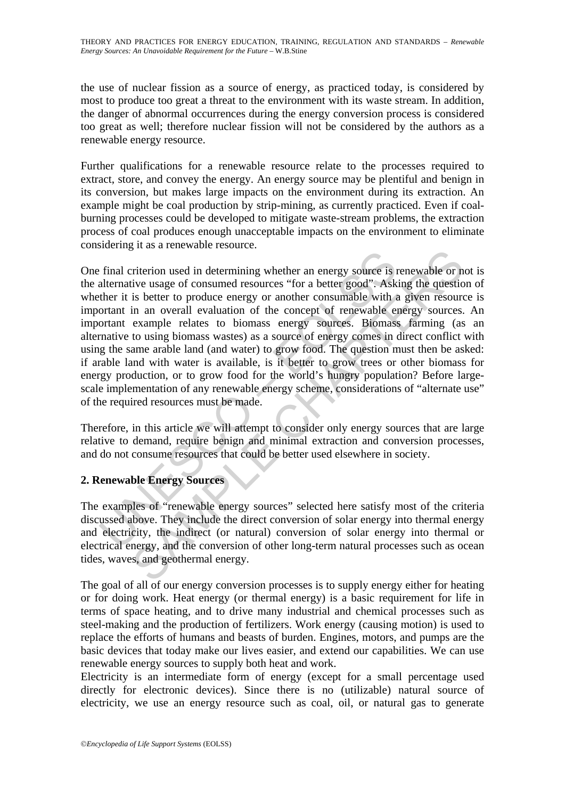the use of nuclear fission as a source of energy, as practiced today, is considered by most to produce too great a threat to the environment with its waste stream. In addition, the danger of abnormal occurrences during the energy conversion process is considered too great as well; therefore nuclear fission will not be considered by the authors as a renewable energy resource.

Further qualifications for a renewable resource relate to the processes required to extract, store, and convey the energy. An energy source may be plentiful and benign in its conversion, but makes large impacts on the environment during its extraction. An example might be coal production by strip-mining, as currently practiced. Even if coalburning processes could be developed to mitigate waste-stream problems, the extraction process of coal produces enough unacceptable impacts on the environment to eliminate considering it as a renewable resource.

final criterion used in determining whether an energy source is alternative usage of consumed resources "for a better good". Ask then it is better to produce energy or another consumable with  $\alpha$  order to produce energy o Fractriction used in determining whether an energy source is renewable or neutrivies usage of consumed resources "for a better good". Asking the question is better to produce energy or another consumable with a given resou One final criterion used in determining whether an energy source is renewable or not is the alternative usage of consumed resources "for a better good". Asking the question of whether it is better to produce energy or another consumable with a given resource is important in an overall evaluation of the concept of renewable energy sources. An important example relates to biomass energy sources. Biomass farming (as an alternative to using biomass wastes) as a source of energy comes in direct conflict with using the same arable land (and water) to grow food. The question must then be asked: if arable land with water is available, is it better to grow trees or other biomass for energy production, or to grow food for the world's hungry population? Before largescale implementation of any renewable energy scheme, considerations of "alternate use" of the required resources must be made.

Therefore, in this article we will attempt to consider only energy sources that are large relative to demand, require benign and minimal extraction and conversion processes, and do not consume resources that could be better used elsewhere in society.

# **2. Renewable Energy Sources**

The examples of "renewable energy sources" selected here satisfy most of the criteria discussed above. They include the direct conversion of solar energy into thermal energy and electricity, the indirect (or natural) conversion of solar energy into thermal or electrical energy, and the conversion of other long-term natural processes such as ocean tides, waves, and geothermal energy.

The goal of all of our energy conversion processes is to supply energy either for heating or for doing work. Heat energy (or thermal energy) is a basic requirement for life in terms of space heating, and to drive many industrial and chemical processes such as steel-making and the production of fertilizers. Work energy (causing motion) is used to replace the efforts of humans and beasts of burden. Engines, motors, and pumps are the basic devices that today make our lives easier, and extend our capabilities. We can use renewable energy sources to supply both heat and work.

Electricity is an intermediate form of energy (except for a small percentage used directly for electronic devices). Since there is no (utilizable) natural source of electricity, we use an energy resource such as coal, oil, or natural gas to generate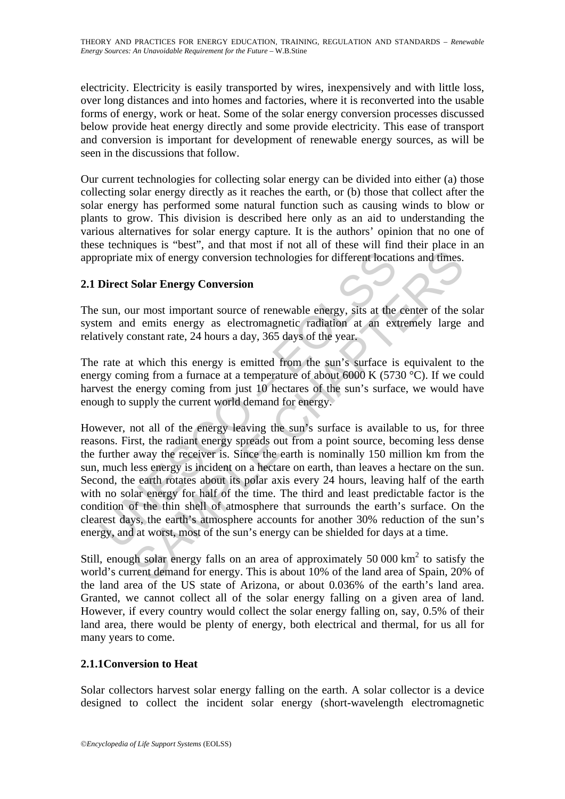electricity. Electricity is easily transported by wires, inexpensively and with little loss, over long distances and into homes and factories, where it is reconverted into the usable forms of energy, work or heat. Some of the solar energy conversion processes discussed below provide heat energy directly and some provide electricity. This ease of transport and conversion is important for development of renewable energy sources, as will be seen in the discussions that follow.

Our current technologies for collecting solar energy can be divided into either (a) those collecting solar energy directly as it reaches the earth, or (b) those that collect after the solar energy has performed some natural function such as causing winds to blow or plants to grow. This division is described here only as an aid to understanding the various alternatives for solar energy capture. It is the authors' opinion that no one of these techniques is "best", and that most if not all of these will find their place in an appropriate mix of energy conversion technologies for different locations and times.

# **2.1 Direct Solar Energy Conversion**

The sun, our most important source of renewable energy, sits at the center of the solar system and emits energy as electromagnetic radiation at an extremely large and relatively constant rate, 24 hours a day, 365 days of the year.

The rate at which this energy is emitted from the sun's surface is equivalent to the energy coming from a furnace at a temperature of about 6000 K (5730 °C). If we could harvest the energy coming from just 10 hectares of the sun's surface, we would have enough to supply the current world demand for energy.

ropriate mix of energy conversion technologies for different locatical<br>Direct Solar Energy Conversion<br>sun, our most important source of renewable energy, sits at the<br>em and emits energy as electromagnetic radiation at an e mix of energy conversion technologies for different locations and times.<br>
Finix of energy conversion technologies for different locations and times.<br>
Solar Energy Conversion<br>
ur most important source of renewable energy, However, not all of the energy leaving the sun's surface is available to us, for three reasons. First, the radiant energy spreads out from a point source, becoming less dense the further away the receiver is. Since the earth is nominally 150 million km from the sun, much less energy is incident on a hectare on earth, than leaves a hectare on the sun. Second, the earth rotates about its polar axis every 24 hours, leaving half of the earth with no solar energy for half of the time. The third and least predictable factor is the condition of the thin shell of atmosphere that surrounds the earth's surface. On the clearest days, the earth's atmosphere accounts for another 30% reduction of the sun's energy, and at worst, most of the sun's energy can be shielded for days at a time.

Still, enough solar energy falls on an area of approximately  $50\,000\,\mathrm{km}^2$  to satisfy the world's current demand for energy. This is about 10% of the land area of Spain, 20% of the land area of the US state of Arizona, or about 0.036% of the earth's land area. Granted, we cannot collect all of the solar energy falling on a given area of land. However, if every country would collect the solar energy falling on, say, 0.5% of their land area, there would be plenty of energy, both electrical and thermal, for us all for many years to come.

# **2.1.1Conversion to Heat**

Solar collectors harvest solar energy falling on the earth. A solar collector is a device designed to collect the incident solar energy (short-wavelength electromagnetic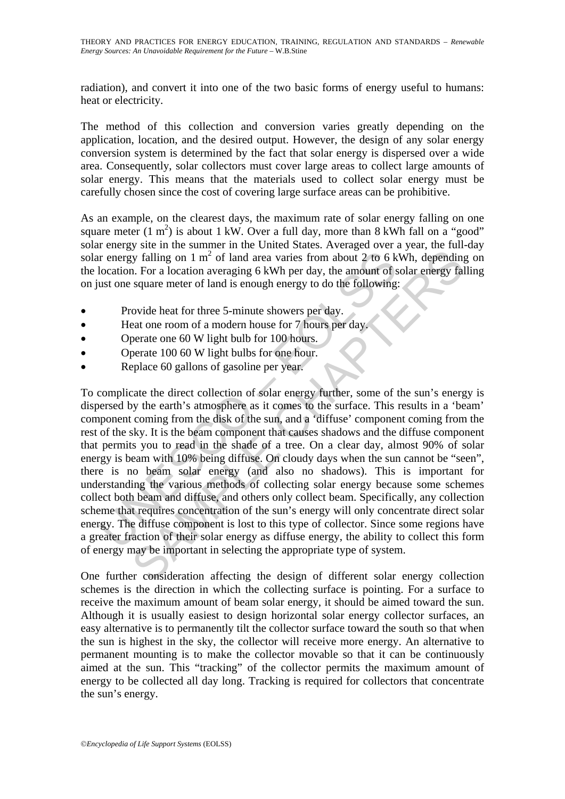radiation), and convert it into one of the two basic forms of energy useful to humans: heat or electricity.

The method of this collection and conversion varies greatly depending on the application, location, and the desired output. However, the design of any solar energy conversion system is determined by the fact that solar energy is dispersed over a wide area. Consequently, solar collectors must cover large areas to collect large amounts of solar energy. This means that the materials used to collect solar energy must be carefully chosen since the cost of covering large surface areas can be prohibitive.

As an example, on the clearest days, the maximum rate of solar energy falling on one square meter  $(1 \text{ m}^2)$  is about 1 kW. Over a full day, more than 8 kWh fall on a "good" solar energy site in the summer in the United States. Averaged over a year, the full-day solar energy falling on  $1 \text{ m}^2$  of land area varies from about 2 to 6 kWh, depending on the location. For a location averaging 6 kWh per day, the amount of solar energy falling on just one square meter of land is enough energy to do the following:

- Provide heat for three 5-minute showers per day.
- Heat one room of a modern house for 7 hours per day.
- Operate one 60 W light bulb for 100 hours.
- Operate 100 60 W light bulbs for one hour.
- Replace 60 gallons of gasoline per year.

r energy falling on 1 m<sup>2</sup> of land area varies from about 2 to 6 k<br>location. For a location averaging 6 kWh per day, the amount of s<br>ust one square meter of land is enough energy to do the following<br>Provide heat for three by falling on 1 m<sup>2</sup> of land area varies from about 2 to 6 kWh, depending<br>
In . For a location averaging 6 kWh per day, the amount of solar energy fall<br>
square meter of land is enough energy to do the following:<br>
sovide h To complicate the direct collection of solar energy further, some of the sun's energy is dispersed by the earth's atmosphere as it comes to the surface. This results in a 'beam' component coming from the disk of the sun, and a 'diffuse' component coming from the rest of the sky. It is the beam component that causes shadows and the diffuse component that permits you to read in the shade of a tree. On a clear day, almost 90% of solar energy is beam with 10% being diffuse. On cloudy days when the sun cannot be "seen", there is no beam solar energy (and also no shadows). This is important for understanding the various methods of collecting solar energy because some schemes collect both beam and diffuse, and others only collect beam. Specifically, any collection scheme that requires concentration of the sun's energy will only concentrate direct solar energy. The diffuse component is lost to this type of collector. Since some regions have a greater fraction of their solar energy as diffuse energy, the ability to collect this form of energy may be important in selecting the appropriate type of system.

One further consideration affecting the design of different solar energy collection schemes is the direction in which the collecting surface is pointing. For a surface to receive the maximum amount of beam solar energy, it should be aimed toward the sun. Although it is usually easiest to design horizontal solar energy collector surfaces, an easy alternative is to permanently tilt the collector surface toward the south so that when the sun is highest in the sky, the collector will receive more energy. An alternative to permanent mounting is to make the collector movable so that it can be continuously aimed at the sun. This "tracking" of the collector permits the maximum amount of energy to be collected all day long. Tracking is required for collectors that concentrate the sun's energy.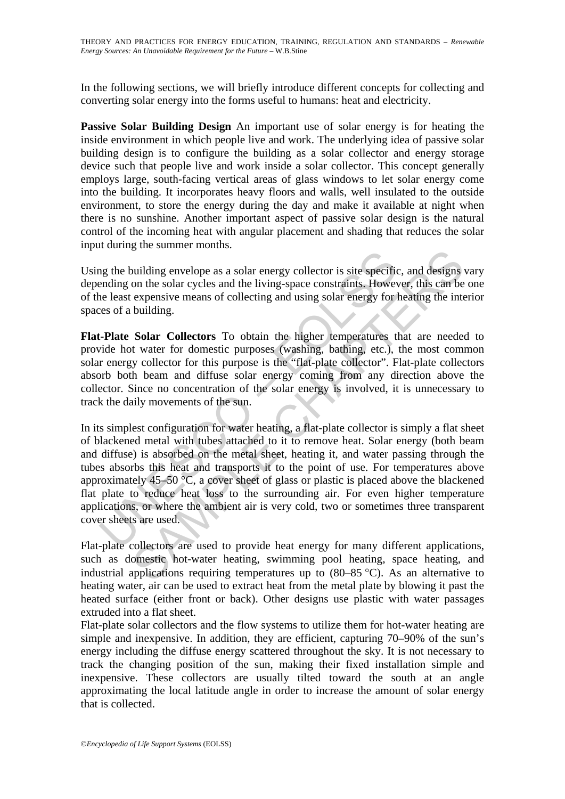In the following sections, we will briefly introduce different concepts for collecting and converting solar energy into the forms useful to humans: heat and electricity.

**Passive Solar Building Design** An important use of solar energy is for heating the inside environment in which people live and work. The underlying idea of passive solar building design is to configure the building as a solar collector and energy storage device such that people live and work inside a solar collector. This concept generally employs large, south-facing vertical areas of glass windows to let solar energy come into the building. It incorporates heavy floors and walls, well insulated to the outside environment, to store the energy during the day and make it available at night when there is no sunshine. Another important aspect of passive solar design is the natural control of the incoming heat with angular placement and shading that reduces the solar input during the summer months.

Using the building envelope as a solar energy collector is site specific, and designs vary depending on the solar cycles and the living-space constraints. However, this can be one of the least expensive means of collecting and using solar energy for heating the interior spaces of a building.

**Flat-Plate Solar Collectors** To obtain the higher temperatures that are needed to provide hot water for domestic purposes (washing, bathing, etc.), the most common solar energy collector for this purpose is the "flat-plate collector". Flat-plate collectors absorb both beam and diffuse solar energy coming from any direction above the collector. Since no concentration of the solar energy is involved, it is unnecessary to track the daily movements of the sun.

may the building envelope as a solar energy collector is site specified<br>ending on the solar cycles and the living-space constraints. However<br>elect expensive means of collecting and using solar energy for<br>two ests of a bui uniding envelope as a solar energy collector is site specific, and designs<br>on the solar cycles and the living-space constraints. However, this can be<br>expensive means of collecting and using solar energy for heating the int In its simplest configuration for water heating, a flat-plate collector is simply a flat sheet of blackened metal with tubes attached to it to remove heat. Solar energy (both beam and diffuse) is absorbed on the metal sheet, heating it, and water passing through the tubes absorbs this heat and transports it to the point of use. For temperatures above approximately  $45-50$  °C, a cover sheet of glass or plastic is placed above the blackened flat plate to reduce heat loss to the surrounding air. For even higher temperature applications, or where the ambient air is very cold, two or sometimes three transparent cover sheets are used.

Flat-plate collectors are used to provide heat energy for many different applications, such as domestic hot-water heating, swimming pool heating, space heating, and industrial applications requiring temperatures up to  $(80-85 \degree C)$ . As an alternative to heating water, air can be used to extract heat from the metal plate by blowing it past the heated surface (either front or back). Other designs use plastic with water passages extruded into a flat sheet.

Flat-plate solar collectors and the flow systems to utilize them for hot-water heating are simple and inexpensive. In addition, they are efficient, capturing 70–90% of the sun's energy including the diffuse energy scattered throughout the sky. It is not necessary to track the changing position of the sun, making their fixed installation simple and inexpensive. These collectors are usually tilted toward the south at an angle approximating the local latitude angle in order to increase the amount of solar energy that is collected.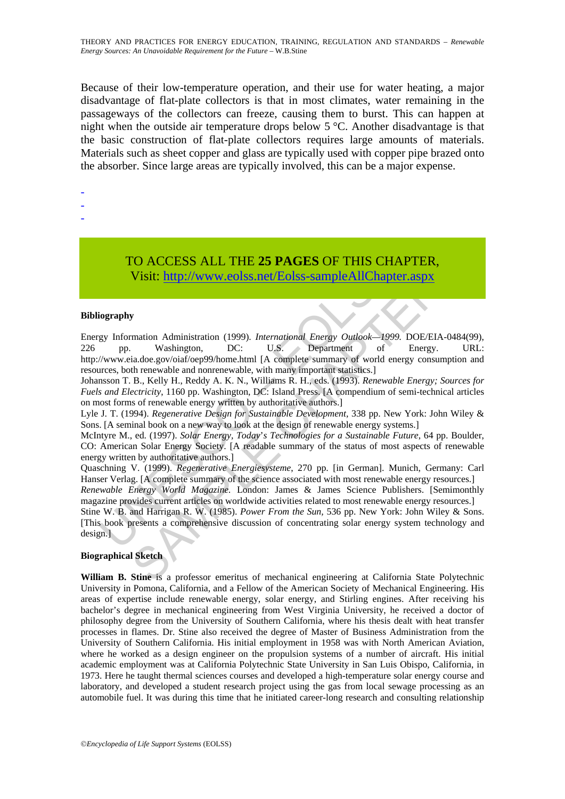Because of their low-temperature operation, and their use for water heating, a major disadvantage of flat-plate collectors is that in most climates, water remaining in the passageways of the collectors can freeze, causing them to burst. This can happen at night when the outside air temperature drops below 5 °C. Another disadvantage is that the basic construction of flat-plate collectors requires large amounts of materials. Materials such as sheet copper and glass are typically used with copper pipe brazed onto the absorber. Since large areas are typically involved, this can be a major expense.

-

- -
- -

# TO ACCESS ALL THE **25 PAGES** OF THIS CHAPTER, Visit: http://www.eolss.net/Eolss-sampleAllChapter.aspx

#### **Bibliography**

TO ACCESS ALL THE 25 PAGES OF THIS CH<br>
Visit: http://www.eolss.net/Eolss-sampleAllChapte<br>
ography<br>
gy Information Administration (1999). *International Energy Outlook*—1999<br>
pp. Washington. DC: U.S.<br>
//www.eia.doe.gov/oiaf CO ACCESS ALL THE 25 PAGES OF THIS CHAPTER,<br>
Visit:  $\frac{http://www.eolss.net/Eolss-sampleAllChapter aspx}{http://www.eolss.net/Eolss-sampleAllChapter aspx}$ <br>
The Visit:  $\frac{http://www.eolss.net/Eolss-sampleAllChapter aspx}$ <br>
The Massington, DC: U.S. Department of Energy. Unitable and non-enewable alumnary important s Energy Information Administration (1999). *International Energy Outlook—1999*. DOE/EIA-0484(99), 226 pp. Washington, DC: U.S. Department of Energy. URL: 226 pp. Washington, DC: U.S. Department of Energy. URL: http://www.eia.doe.gov/oiaf/oep99/home.html [A complete summary of world energy consumption and resources, both renewable and nonrenewable, with many important statistics.]

Johansson T. B., Kelly H., Reddy A. K. N., Williams R. H., eds. (1993). *Renewable Energy; Sources for Fuels and Electricity*, 1160 pp. Washington, DC: Island Press. [A compendium of semi-technical articles on most forms of renewable energy written by authoritative authors.]

Lyle J. T. (1994). *Regenerative Design for Sustainable Development,* 338 pp. New York: John Wiley & Sons. [A seminal book on a new way to look at the design of renewable energy systems.]

McIntyre M., ed. (1997). *Solar Energy, Today*'*s Technologies for a Sustainable Future*, 64 pp. Boulder, CO: American Solar Energy Society. [A readable summary of the status of most aspects of renewable energy written by authoritative authors.]

Quaschning V. (1999). *Regenerative Energiesysteme*, 270 pp. [in German]. Munich, Germany: Carl Hanser Verlag. [A complete summary of the science associated with most renewable energy resources.] *Renewable Energy World Magazine.* London: James & James Science Publishers. [Semimonthly

magazine provides current articles on worldwide activities related to most renewable energy resources.] Stine W. B. and Harrigan R. W. (1985). *Power From the Sun,* 536 pp. New York: John Wiley & Sons.

[This book presents a comprehensive discussion of concentrating solar energy system technology and design.]

#### **Biographical Sketch**

**William B. Stine** is a professor emeritus of mechanical engineering at California State Polytechnic University in Pomona, California, and a Fellow of the American Society of Mechanical Engineering. His areas of expertise include renewable energy, solar energy, and Stirling engines. After receiving his bachelor's degree in mechanical engineering from West Virginia University, he received a doctor of philosophy degree from the University of Southern California, where his thesis dealt with heat transfer processes in flames. Dr. Stine also received the degree of Master of Business Administration from the University of Southern California. His initial employment in 1958 was with North American Aviation, where he worked as a design engineer on the propulsion systems of a number of aircraft. His initial academic employment was at California Polytechnic State University in San Luis Obispo, California, in 1973. Here he taught thermal sciences courses and developed a high-temperature solar energy course and laboratory, and developed a student research project using the gas from local sewage processing as an automobile fuel. It was during this time that he initiated career-long research and consulting relationship